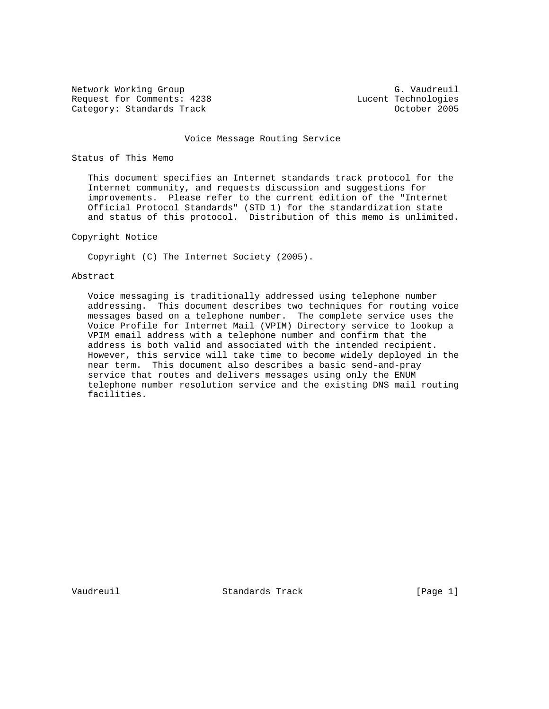Network Working Group<br>Request for Comments: 4238 G. Vaudreuil<br>Eucent Technologies Request for Comments: 4238 Lucent Technologies<br>
Category: Standards Track (Category: 2005 Category: Standards Track

#### Voice Message Routing Service

# Status of This Memo

 This document specifies an Internet standards track protocol for the Internet community, and requests discussion and suggestions for improvements. Please refer to the current edition of the "Internet Official Protocol Standards" (STD 1) for the standardization state and status of this protocol. Distribution of this memo is unlimited.

# Copyright Notice

Copyright (C) The Internet Society (2005).

# Abstract

 Voice messaging is traditionally addressed using telephone number addressing. This document describes two techniques for routing voice messages based on a telephone number. The complete service uses the Voice Profile for Internet Mail (VPIM) Directory service to lookup a VPIM email address with a telephone number and confirm that the address is both valid and associated with the intended recipient. However, this service will take time to become widely deployed in the near term. This document also describes a basic send-and-pray service that routes and delivers messages using only the ENUM telephone number resolution service and the existing DNS mail routing facilities.

Vaudreuil Standards Track [Page 1]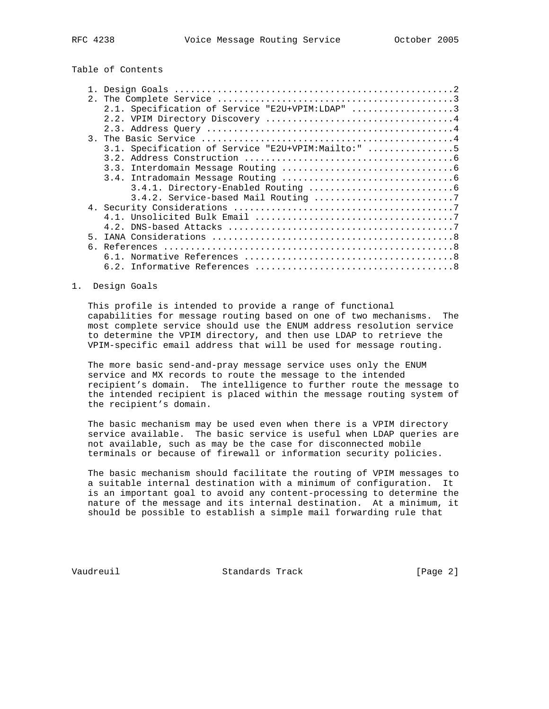Table of Contents

|   | 2.1. Specification of Service "E2U+VPIM:LDAP" 3    |
|---|----------------------------------------------------|
|   |                                                    |
|   |                                                    |
|   |                                                    |
|   | 3.1. Specification of Service "E2U+VPIM:Mailto:" 5 |
|   |                                                    |
|   |                                                    |
|   |                                                    |
|   |                                                    |
|   |                                                    |
|   |                                                    |
|   |                                                    |
|   |                                                    |
| 5 |                                                    |
|   |                                                    |
|   |                                                    |
|   |                                                    |
|   |                                                    |

### 1. Design Goals

 This profile is intended to provide a range of functional capabilities for message routing based on one of two mechanisms. The most complete service should use the ENUM address resolution service to determine the VPIM directory, and then use LDAP to retrieve the VPIM-specific email address that will be used for message routing.

 The more basic send-and-pray message service uses only the ENUM service and MX records to route the message to the intended recipient's domain. The intelligence to further route the message to the intended recipient is placed within the message routing system of the recipient's domain.

 The basic mechanism may be used even when there is a VPIM directory service available. The basic service is useful when LDAP queries are not available, such as may be the case for disconnected mobile terminals or because of firewall or information security policies.

 The basic mechanism should facilitate the routing of VPIM messages to a suitable internal destination with a minimum of configuration. It is an important goal to avoid any content-processing to determine the nature of the message and its internal destination. At a minimum, it should be possible to establish a simple mail forwarding rule that

Vaudreuil Standards Track [Page 2]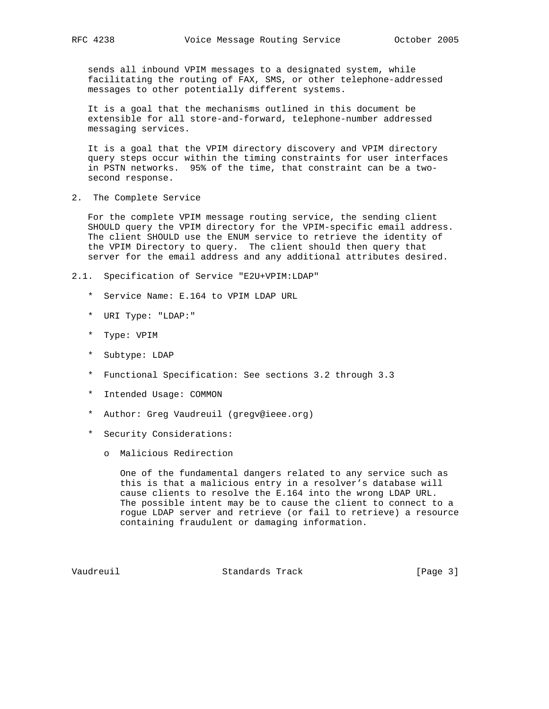sends all inbound VPIM messages to a designated system, while facilitating the routing of FAX, SMS, or other telephone-addressed messages to other potentially different systems.

 It is a goal that the mechanisms outlined in this document be extensible for all store-and-forward, telephone-number addressed messaging services.

 It is a goal that the VPIM directory discovery and VPIM directory query steps occur within the timing constraints for user interfaces in PSTN networks. 95% of the time, that constraint can be a two second response.

2. The Complete Service

 For the complete VPIM message routing service, the sending client SHOULD query the VPIM directory for the VPIM-specific email address. The client SHOULD use the ENUM service to retrieve the identity of the VPIM Directory to query. The client should then query that server for the email address and any additional attributes desired.

- 2.1. Specification of Service "E2U+VPIM:LDAP"
	- \* Service Name: E.164 to VPIM LDAP URL
	- \* URI Type: "LDAP:"
	- \* Type: VPIM
	- \* Subtype: LDAP
	- \* Functional Specification: See sections 3.2 through 3.3
	- \* Intended Usage: COMMON
	- \* Author: Greg Vaudreuil (gregv@ieee.org)
	- \* Security Considerations:
		- o Malicious Redirection

 One of the fundamental dangers related to any service such as this is that a malicious entry in a resolver's database will cause clients to resolve the E.164 into the wrong LDAP URL. The possible intent may be to cause the client to connect to a rogue LDAP server and retrieve (or fail to retrieve) a resource containing fraudulent or damaging information.

Vaudreuil Standards Track [Page 3]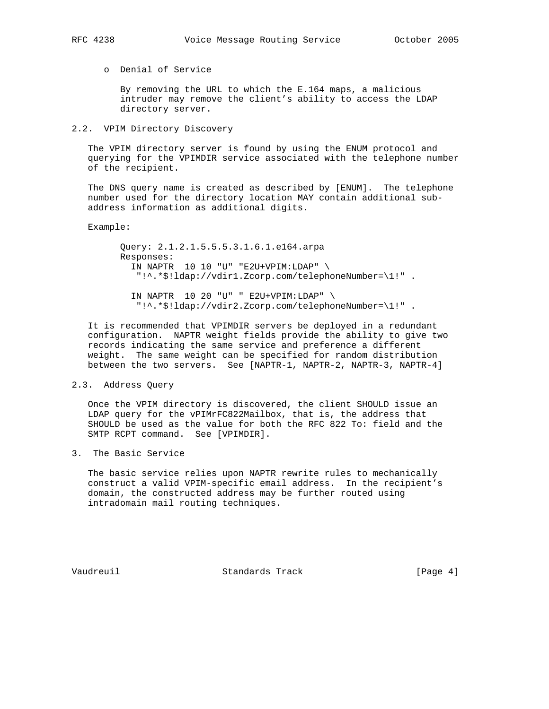o Denial of Service

 By removing the URL to which the E.164 maps, a malicious intruder may remove the client's ability to access the LDAP directory server.

### 2.2. VPIM Directory Discovery

 The VPIM directory server is found by using the ENUM protocol and querying for the VPIMDIR service associated with the telephone number of the recipient.

 The DNS query name is created as described by [ENUM]. The telephone number used for the directory location MAY contain additional sub address information as additional digits.

#### Example:

 Query: 2.1.2.1.5.5.5.3.1.6.1.e164.arpa Responses: IN NAPTR 10 10 "U" "E2U+VPIM:LDAP" \ "!^.\*\$!ldap://vdir1.Zcorp.com/telephoneNumber=\1!" .

 IN NAPTR 10 20 "U" " E2U+VPIM:LDAP" \ "!^.\*\$!ldap://vdir2.Zcorp.com/telephoneNumber=\1!" .

 It is recommended that VPIMDIR servers be deployed in a redundant configuration. NAPTR weight fields provide the ability to give two records indicating the same service and preference a different weight. The same weight can be specified for random distribution between the two servers. See [NAPTR-1, NAPTR-2, NAPTR-3, NAPTR-4]

2.3. Address Query

 Once the VPIM directory is discovered, the client SHOULD issue an LDAP query for the vPIMrFC822Mailbox, that is, the address that SHOULD be used as the value for both the RFC 822 To: field and the SMTP RCPT command. See [VPIMDIR].

3. The Basic Service

 The basic service relies upon NAPTR rewrite rules to mechanically construct a valid VPIM-specific email address. In the recipient's domain, the constructed address may be further routed using intradomain mail routing techniques.

Vaudreuil Standards Track [Page 4]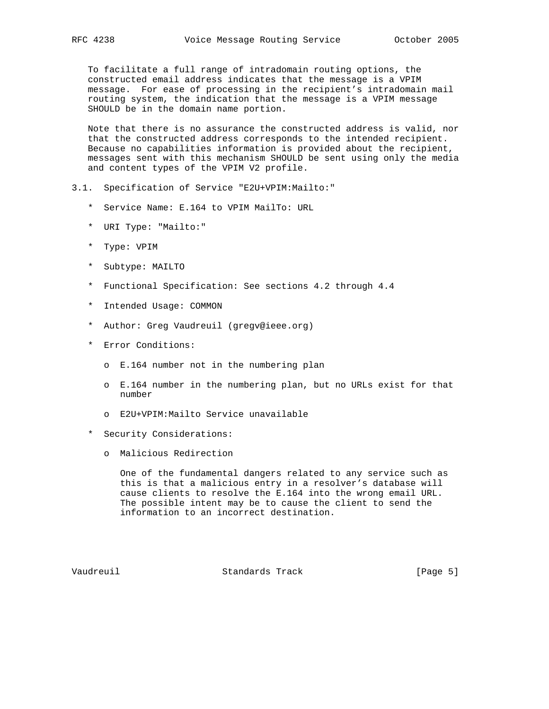To facilitate a full range of intradomain routing options, the constructed email address indicates that the message is a VPIM message. For ease of processing in the recipient's intradomain mail routing system, the indication that the message is a VPIM message SHOULD be in the domain name portion.

 Note that there is no assurance the constructed address is valid, nor that the constructed address corresponds to the intended recipient. Because no capabilities information is provided about the recipient, messages sent with this mechanism SHOULD be sent using only the media and content types of the VPIM V2 profile.

- 3.1. Specification of Service "E2U+VPIM:Mailto:"
	- \* Service Name: E.164 to VPIM MailTo: URL
	- \* URI Type: "Mailto:"
	- \* Type: VPIM
	- \* Subtype: MAILTO
	- \* Functional Specification: See sections 4.2 through 4.4
	- \* Intended Usage: COMMON
	- \* Author: Greg Vaudreuil (gregv@ieee.org)
	- \* Error Conditions:
		- o E.164 number not in the numbering plan
		- o E.164 number in the numbering plan, but no URLs exist for that number
		- o E2U+VPIM:Mailto Service unavailable
	- \* Security Considerations:
		- o Malicious Redirection

 One of the fundamental dangers related to any service such as this is that a malicious entry in a resolver's database will cause clients to resolve the E.164 into the wrong email URL. The possible intent may be to cause the client to send the information to an incorrect destination.

Vaudreuil Standards Track [Page 5]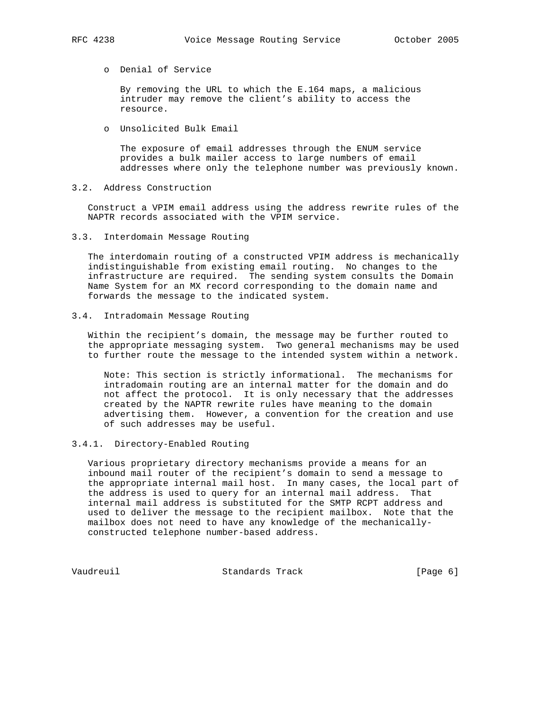o Denial of Service

 By removing the URL to which the E.164 maps, a malicious intruder may remove the client's ability to access the resource.

o Unsolicited Bulk Email

 The exposure of email addresses through the ENUM service provides a bulk mailer access to large numbers of email addresses where only the telephone number was previously known.

3.2. Address Construction

 Construct a VPIM email address using the address rewrite rules of the NAPTR records associated with the VPIM service.

3.3. Interdomain Message Routing

 The interdomain routing of a constructed VPIM address is mechanically indistinguishable from existing email routing. No changes to the infrastructure are required. The sending system consults the Domain Name System for an MX record corresponding to the domain name and forwards the message to the indicated system.

3.4. Intradomain Message Routing

 Within the recipient's domain, the message may be further routed to the appropriate messaging system. Two general mechanisms may be used to further route the message to the intended system within a network.

 Note: This section is strictly informational. The mechanisms for intradomain routing are an internal matter for the domain and do not affect the protocol. It is only necessary that the addresses created by the NAPTR rewrite rules have meaning to the domain advertising them. However, a convention for the creation and use of such addresses may be useful.

# 3.4.1. Directory-Enabled Routing

 Various proprietary directory mechanisms provide a means for an inbound mail router of the recipient's domain to send a message to the appropriate internal mail host. In many cases, the local part of the address is used to query for an internal mail address. That internal mail address is substituted for the SMTP RCPT address and used to deliver the message to the recipient mailbox. Note that the mailbox does not need to have any knowledge of the mechanically constructed telephone number-based address.

Vaudreuil Standards Track [Page 6]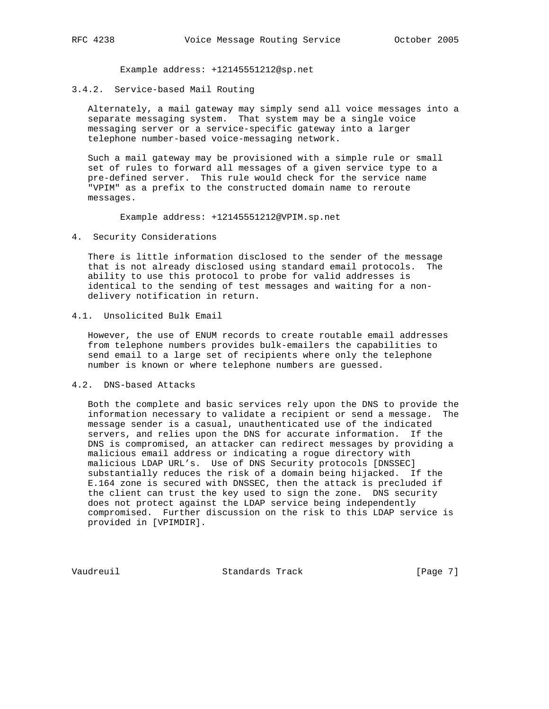Example address: +12145551212@sp.net

3.4.2. Service-based Mail Routing

 Alternately, a mail gateway may simply send all voice messages into a separate messaging system. That system may be a single voice messaging server or a service-specific gateway into a larger telephone number-based voice-messaging network.

 Such a mail gateway may be provisioned with a simple rule or small set of rules to forward all messages of a given service type to a pre-defined server. This rule would check for the service name "VPIM" as a prefix to the constructed domain name to reroute messages.

Example address: +12145551212@VPIM.sp.net

4. Security Considerations

 There is little information disclosed to the sender of the message that is not already disclosed using standard email protocols. The ability to use this protocol to probe for valid addresses is identical to the sending of test messages and waiting for a non delivery notification in return.

## 4.1. Unsolicited Bulk Email

 However, the use of ENUM records to create routable email addresses from telephone numbers provides bulk-emailers the capabilities to send email to a large set of recipients where only the telephone number is known or where telephone numbers are guessed.

# 4.2. DNS-based Attacks

 Both the complete and basic services rely upon the DNS to provide the information necessary to validate a recipient or send a message. The message sender is a casual, unauthenticated use of the indicated servers, and relies upon the DNS for accurate information. If the DNS is compromised, an attacker can redirect messages by providing a malicious email address or indicating a rogue directory with malicious LDAP URL's. Use of DNS Security protocols [DNSSEC] substantially reduces the risk of a domain being hijacked. If the E.164 zone is secured with DNSSEC, then the attack is precluded if the client can trust the key used to sign the zone. DNS security does not protect against the LDAP service being independently compromised. Further discussion on the risk to this LDAP service is provided in [VPIMDIR].

Vaudreuil Standards Track [Page 7]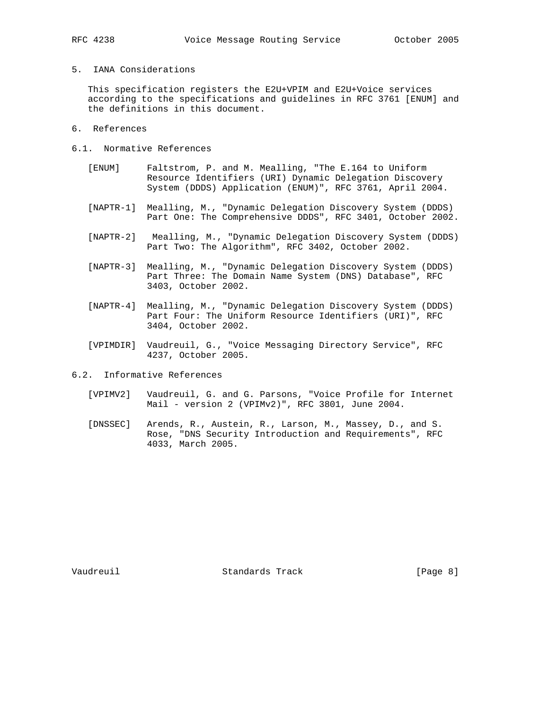# 5. IANA Considerations

 This specification registers the E2U+VPIM and E2U+Voice services according to the specifications and guidelines in RFC 3761 [ENUM] and the definitions in this document.

- 6. References
- 6.1. Normative References
	- [ENUM] Faltstrom, P. and M. Mealling, "The E.164 to Uniform Resource Identifiers (URI) Dynamic Delegation Discovery System (DDDS) Application (ENUM)", RFC 3761, April 2004.
	- [NAPTR-1] Mealling, M., "Dynamic Delegation Discovery System (DDDS) Part One: The Comprehensive DDDS", RFC 3401, October 2002.
	- [NAPTR-2] Mealling, M., "Dynamic Delegation Discovery System (DDDS) Part Two: The Algorithm", RFC 3402, October 2002.
	- [NAPTR-3] Mealling, M., "Dynamic Delegation Discovery System (DDDS) Part Three: The Domain Name System (DNS) Database", RFC 3403, October 2002.
	- [NAPTR-4] Mealling, M., "Dynamic Delegation Discovery System (DDDS) Part Four: The Uniform Resource Identifiers (URI)", RFC 3404, October 2002.
	- [VPIMDIR] Vaudreuil, G., "Voice Messaging Directory Service", RFC 4237, October 2005.
- 6.2. Informative References
	- [VPIMV2] Vaudreuil, G. and G. Parsons, "Voice Profile for Internet Mail - version 2 (VPIMv2)", RFC 3801, June 2004.
	- [DNSSEC] Arends, R., Austein, R., Larson, M., Massey, D., and S. Rose, "DNS Security Introduction and Requirements", RFC 4033, March 2005.

Vaudreuil Standards Track [Page 8]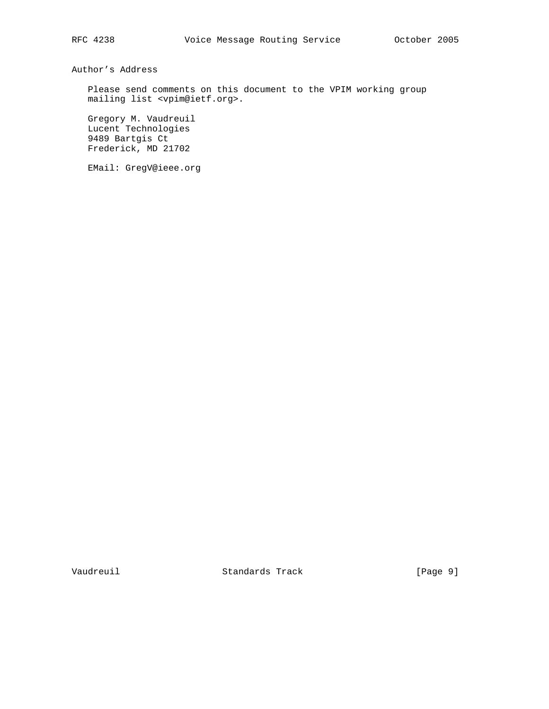Author's Address

 Please send comments on this document to the VPIM working group mailing list <vpim@ietf.org>.

 Gregory M. Vaudreuil Lucent Technologies 9489 Bartgis Ct Frederick, MD 21702

EMail: GregV@ieee.org

Vaudreuil Standards Track [Page 9]